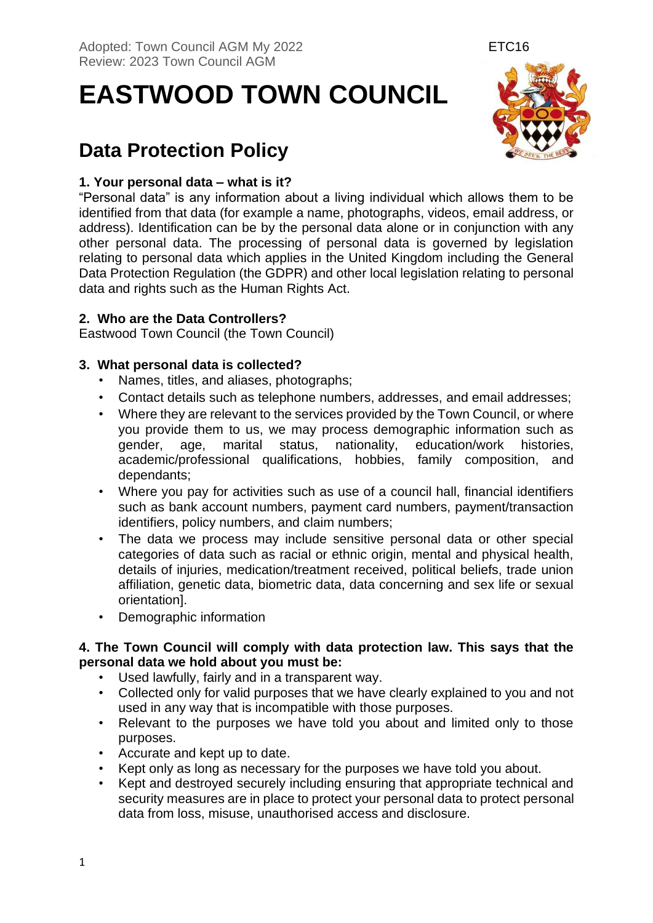**EASTWOOD TOWN COUNCIL** 

# **Data Protection Policy**

# **1. Your personal data – what is it?**

"Personal data" is any information about a living individual which allows them to be identified from that data (for example a name, photographs, videos, email address, or address). Identification can be by the personal data alone or in conjunction with any other personal data. The processing of personal data is governed by legislation relating to personal data which applies in the United Kingdom including the General Data Protection Regulation (the GDPR) and other local legislation relating to personal data and rights such as the Human Rights Act.

# **2. Who are the Data Controllers?**

Eastwood Town Council (the Town Council)

# **3. What personal data is collected?**

- Names, titles, and aliases, photographs;
- Contact details such as telephone numbers, addresses, and email addresses;
- Where they are relevant to the services provided by the Town Council, or where you provide them to us, we may process demographic information such as gender, age, marital status, nationality, education/work histories, academic/professional qualifications, hobbies, family composition, and dependants;
- Where you pay for activities such as use of a council hall, financial identifiers such as bank account numbers, payment card numbers, payment/transaction identifiers, policy numbers, and claim numbers;
- The data we process may include sensitive personal data or other special categories of data such as racial or ethnic origin, mental and physical health, details of injuries, medication/treatment received, political beliefs, trade union affiliation, genetic data, biometric data, data concerning and sex life or sexual orientation].
- Demographic information

## **4. The Town Council will comply with data protection law. This says that the personal data we hold about you must be:**

- Used lawfully, fairly and in a transparent way.
- Collected only for valid purposes that we have clearly explained to you and not used in any way that is incompatible with those purposes.
- Relevant to the purposes we have told you about and limited only to those purposes.
- Accurate and kept up to date.
- Kept only as long as necessary for the purposes we have told you about.
- Kept and destroyed securely including ensuring that appropriate technical and security measures are in place to protect your personal data to protect personal data from loss, misuse, unauthorised access and disclosure.

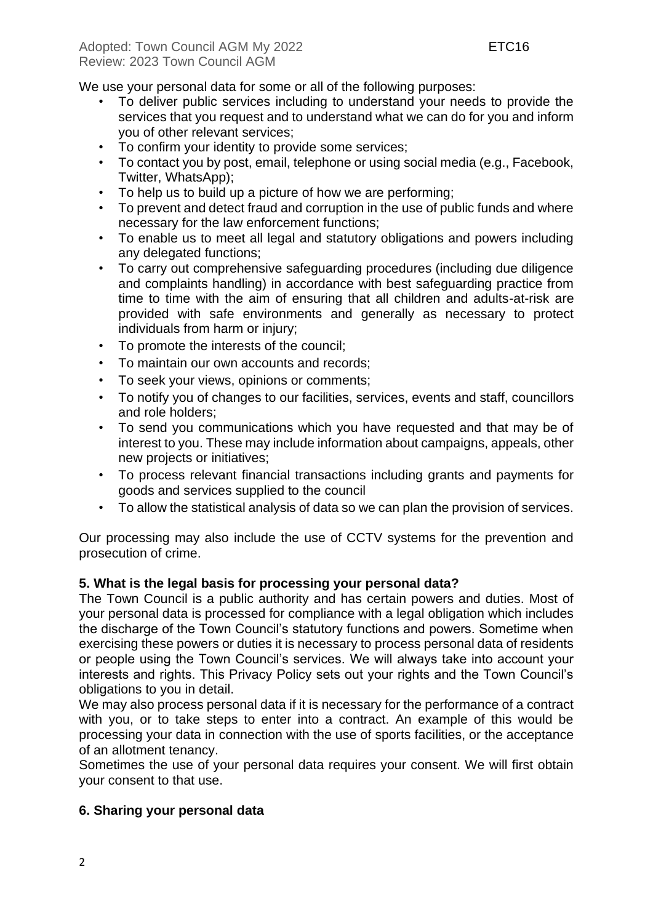We use your personal data for some or all of the following purposes:

- To deliver public services including to understand your needs to provide the services that you request and to understand what we can do for you and inform you of other relevant services;
- To confirm your identity to provide some services;
- To contact you by post, email, telephone or using social media (e.g., Facebook, Twitter, WhatsApp);
- To help us to build up a picture of how we are performing;
- To prevent and detect fraud and corruption in the use of public funds and where necessary for the law enforcement functions;
- To enable us to meet all legal and statutory obligations and powers including any delegated functions;
- To carry out comprehensive safeguarding procedures (including due diligence and complaints handling) in accordance with best safeguarding practice from time to time with the aim of ensuring that all children and adults-at-risk are provided with safe environments and generally as necessary to protect individuals from harm or injury;
- To promote the interests of the council;
- To maintain our own accounts and records;
- To seek your views, opinions or comments;
- To notify you of changes to our facilities, services, events and staff, councillors and role holders;
- To send you communications which you have requested and that may be of interest to you. These may include information about campaigns, appeals, other new projects or initiatives;
- To process relevant financial transactions including grants and payments for goods and services supplied to the council
- To allow the statistical analysis of data so we can plan the provision of services.

Our processing may also include the use of CCTV systems for the prevention and prosecution of crime.

## **5. What is the legal basis for processing your personal data?**

The Town Council is a public authority and has certain powers and duties. Most of your personal data is processed for compliance with a legal obligation which includes the discharge of the Town Council's statutory functions and powers. Sometime when exercising these powers or duties it is necessary to process personal data of residents or people using the Town Council's services. We will always take into account your interests and rights. This Privacy Policy sets out your rights and the Town Council's obligations to you in detail.

We may also process personal data if it is necessary for the performance of a contract with you, or to take steps to enter into a contract. An example of this would be processing your data in connection with the use of sports facilities, or the acceptance of an allotment tenancy.

Sometimes the use of your personal data requires your consent. We will first obtain your consent to that use.

## **6. Sharing your personal data**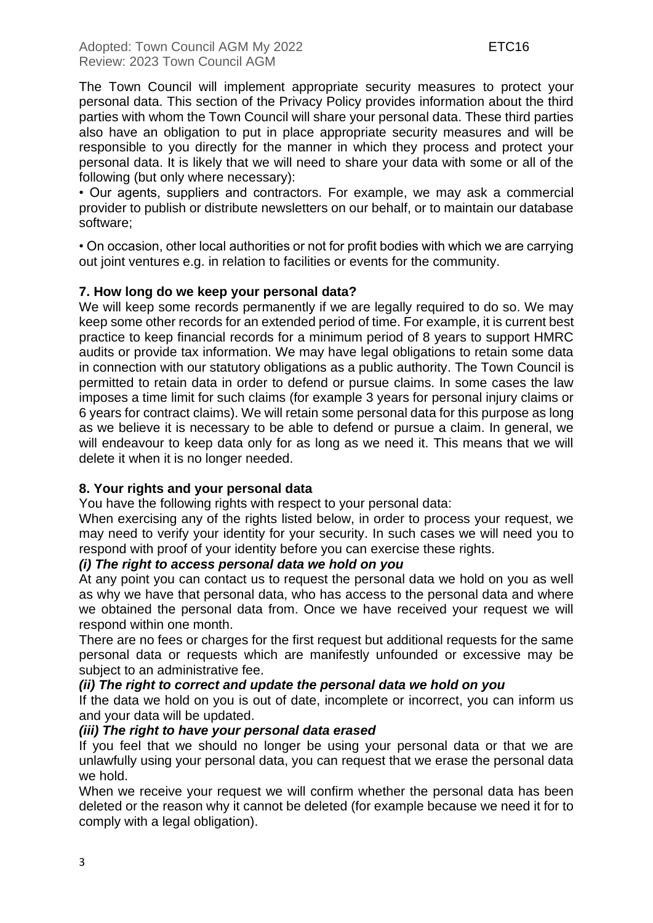The Town Council will implement appropriate security measures to protect your personal data. This section of the Privacy Policy provides information about the third parties with whom the Town Council will share your personal data. These third parties also have an obligation to put in place appropriate security measures and will be responsible to you directly for the manner in which they process and protect your personal data. It is likely that we will need to share your data with some or all of the following (but only where necessary):

• Our agents, suppliers and contractors. For example, we may ask a commercial provider to publish or distribute newsletters on our behalf, or to maintain our database software;

• On occasion, other local authorities or not for profit bodies with which we are carrying out joint ventures e.g. in relation to facilities or events for the community.

## **7. How long do we keep your personal data?**

We will keep some records permanently if we are legally required to do so. We may keep some other records for an extended period of time. For example, it is current best practice to keep financial records for a minimum period of 8 years to support HMRC audits or provide tax information. We may have legal obligations to retain some data in connection with our statutory obligations as a public authority. The Town Council is permitted to retain data in order to defend or pursue claims. In some cases the law imposes a time limit for such claims (for example 3 years for personal injury claims or 6 years for contract claims). We will retain some personal data for this purpose as long as we believe it is necessary to be able to defend or pursue a claim. In general, we will endeavour to keep data only for as long as we need it. This means that we will delete it when it is no longer needed.

# **8. Your rights and your personal data**

You have the following rights with respect to your personal data:

When exercising any of the rights listed below, in order to process your request, we may need to verify your identity for your security. In such cases we will need you to respond with proof of your identity before you can exercise these rights.

## *(i) The right to access personal data we hold on you*

At any point you can contact us to request the personal data we hold on you as well as why we have that personal data, who has access to the personal data and where we obtained the personal data from. Once we have received your request we will respond within one month.

There are no fees or charges for the first request but additional requests for the same personal data or requests which are manifestly unfounded or excessive may be subject to an administrative fee.

## *(ii) The right to correct and update the personal data we hold on you*

If the data we hold on you is out of date, incomplete or incorrect, you can inform us and your data will be updated.

## *(iii) The right to have your personal data erased*

If you feel that we should no longer be using your personal data or that we are unlawfully using your personal data, you can request that we erase the personal data we hold.

When we receive your request we will confirm whether the personal data has been deleted or the reason why it cannot be deleted (for example because we need it for to comply with a legal obligation).